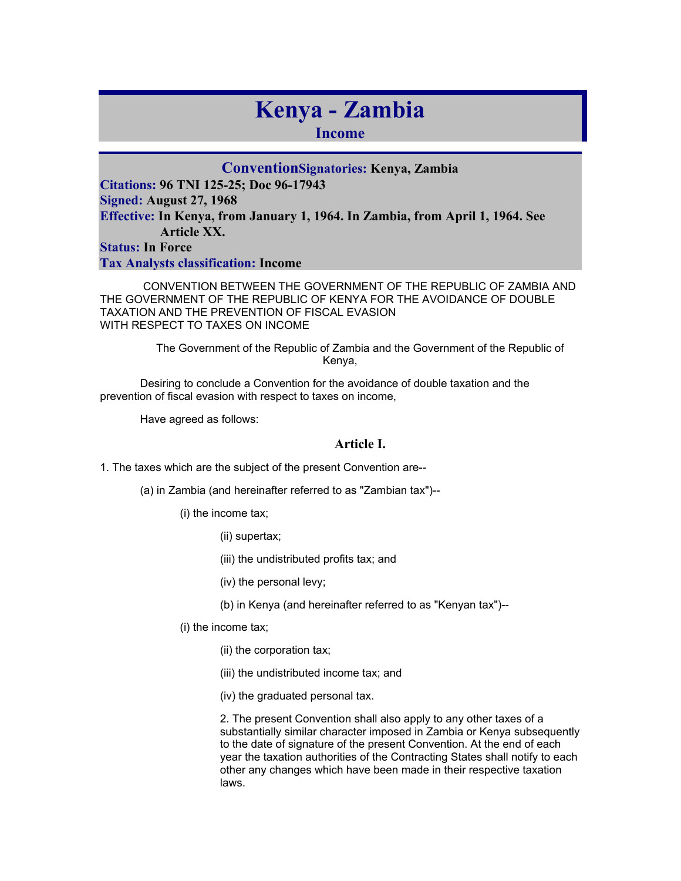# **Kenya - Zambia**

**Income** 

**ConventionSignatories: Kenya, Zambia Citations: 96 TNI 125-25; Doc 96-17943 Signed: August 27, 1968 Effective: In Kenya, from January 1, 1964. In Zambia, from April 1, 1964. See Article XX.** 

**Status: In Force** 

**Tax Analysts classification: Income** 

 CONVENTION BETWEEN THE GOVERNMENT OF THE REPUBLIC OF ZAMBIA AND THE GOVERNMENT OF THE REPUBLIC OF KENYA FOR THE AVOIDANCE OF DOUBLE TAXATION AND THE PREVENTION OF FISCAL EVASION WITH RESPECT TO TAXES ON INCOME

> The Government of the Republic of Zambia and the Government of the Republic of Kenya,

Desiring to conclude a Convention for the avoidance of double taxation and the prevention of fiscal evasion with respect to taxes on income,

Have agreed as follows:

# **Article I.**

1. The taxes which are the subject of the present Convention are--

(a) in Zambia (and hereinafter referred to as "Zambian tax")--

(i) the income tax;

(ii) supertax;

(iii) the undistributed profits tax; and

(iv) the personal levy;

(b) in Kenya (and hereinafter referred to as "Kenyan tax")--

(i) the income tax;

(ii) the corporation tax;

(iii) the undistributed income tax; and

(iv) the graduated personal tax.

2. The present Convention shall also apply to any other taxes of a substantially similar character imposed in Zambia or Kenya subsequently to the date of signature of the present Convention. At the end of each year the taxation authorities of the Contracting States shall notify to each other any changes which have been made in their respective taxation laws.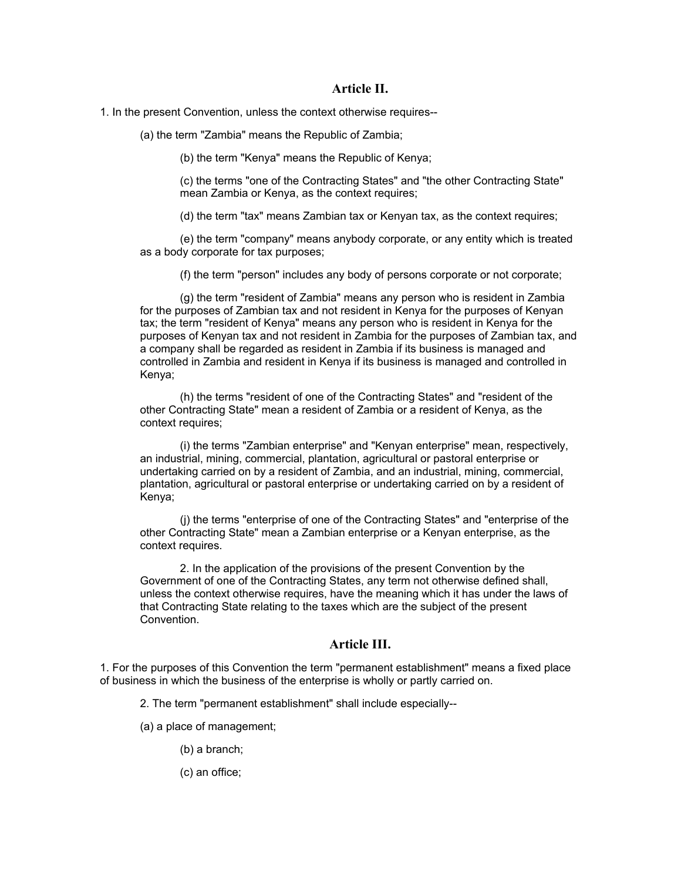#### **Article II.**

1. In the present Convention, unless the context otherwise requires--

(a) the term "Zambia" means the Republic of Zambia;

(b) the term "Kenya" means the Republic of Kenya;

(c) the terms "one of the Contracting States" and "the other Contracting State" mean Zambia or Kenya, as the context requires;

(d) the term "tax" means Zambian tax or Kenyan tax, as the context requires;

(e) the term "company" means anybody corporate, or any entity which is treated as a body corporate for tax purposes;

(f) the term "person" includes any body of persons corporate or not corporate;

(g) the term "resident of Zambia" means any person who is resident in Zambia for the purposes of Zambian tax and not resident in Kenya for the purposes of Kenyan tax; the term "resident of Kenya" means any person who is resident in Kenya for the purposes of Kenyan tax and not resident in Zambia for the purposes of Zambian tax, and a company shall be regarded as resident in Zambia if its business is managed and controlled in Zambia and resident in Kenya if its business is managed and controlled in Kenya;

(h) the terms "resident of one of the Contracting States" and "resident of the other Contracting State" mean a resident of Zambia or a resident of Kenya, as the context requires;

(i) the terms "Zambian enterprise" and "Kenyan enterprise" mean, respectively, an industrial, mining, commercial, plantation, agricultural or pastoral enterprise or undertaking carried on by a resident of Zambia, and an industrial, mining, commercial, plantation, agricultural or pastoral enterprise or undertaking carried on by a resident of Kenya;

(j) the terms "enterprise of one of the Contracting States" and "enterprise of the other Contracting State" mean a Zambian enterprise or a Kenyan enterprise, as the context requires.

2. In the application of the provisions of the present Convention by the Government of one of the Contracting States, any term not otherwise defined shall, unless the context otherwise requires, have the meaning which it has under the laws of that Contracting State relating to the taxes which are the subject of the present Convention.

# **Article III.**

1. For the purposes of this Convention the term "permanent establishment" means a fixed place of business in which the business of the enterprise is wholly or partly carried on.

2. The term "permanent establishment" shall include especially--

(a) a place of management;

(b) a branch;

(c) an office;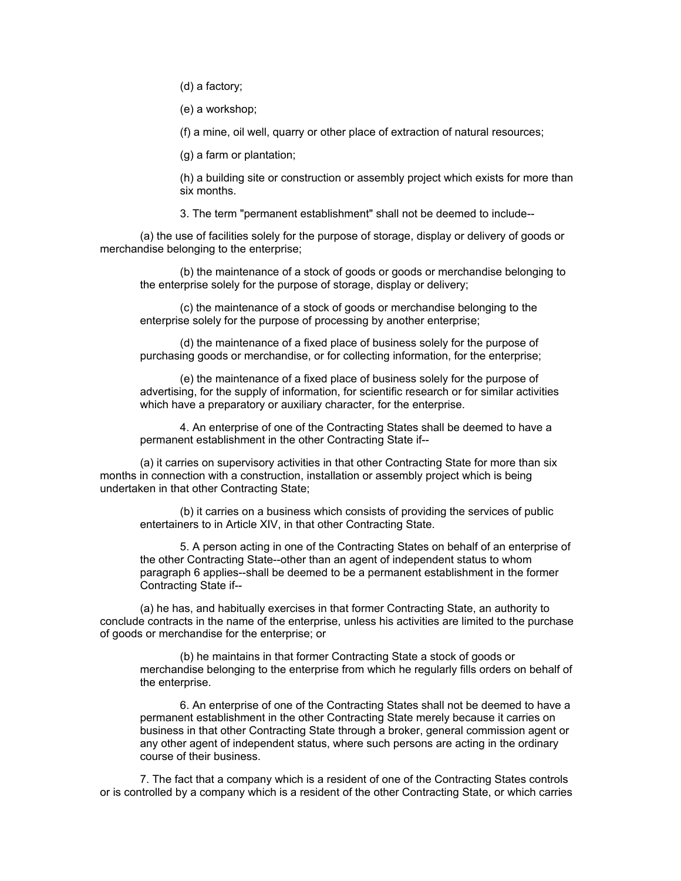(d) a factory;

(e) a workshop;

(f) a mine, oil well, quarry or other place of extraction of natural resources;

(g) a farm or plantation;

(h) a building site or construction or assembly project which exists for more than six months.

3. The term "permanent establishment" shall not be deemed to include--

(a) the use of facilities solely for the purpose of storage, display or delivery of goods or merchandise belonging to the enterprise;

(b) the maintenance of a stock of goods or goods or merchandise belonging to the enterprise solely for the purpose of storage, display or delivery;

(c) the maintenance of a stock of goods or merchandise belonging to the enterprise solely for the purpose of processing by another enterprise;

(d) the maintenance of a fixed place of business solely for the purpose of purchasing goods or merchandise, or for collecting information, for the enterprise;

(e) the maintenance of a fixed place of business solely for the purpose of advertising, for the supply of information, for scientific research or for similar activities which have a preparatory or auxiliary character, for the enterprise.

4. An enterprise of one of the Contracting States shall be deemed to have a permanent establishment in the other Contracting State if--

(a) it carries on supervisory activities in that other Contracting State for more than six months in connection with a construction, installation or assembly project which is being undertaken in that other Contracting State;

(b) it carries on a business which consists of providing the services of public entertainers to in Article XIV, in that other Contracting State.

5. A person acting in one of the Contracting States on behalf of an enterprise of the other Contracting State--other than an agent of independent status to whom paragraph 6 applies--shall be deemed to be a permanent establishment in the former Contracting State if--

(a) he has, and habitually exercises in that former Contracting State, an authority to conclude contracts in the name of the enterprise, unless his activities are limited to the purchase of goods or merchandise for the enterprise; or

(b) he maintains in that former Contracting State a stock of goods or merchandise belonging to the enterprise from which he regularly fills orders on behalf of the enterprise.

6. An enterprise of one of the Contracting States shall not be deemed to have a permanent establishment in the other Contracting State merely because it carries on business in that other Contracting State through a broker, general commission agent or any other agent of independent status, where such persons are acting in the ordinary course of their business.

7. The fact that a company which is a resident of one of the Contracting States controls or is controlled by a company which is a resident of the other Contracting State, or which carries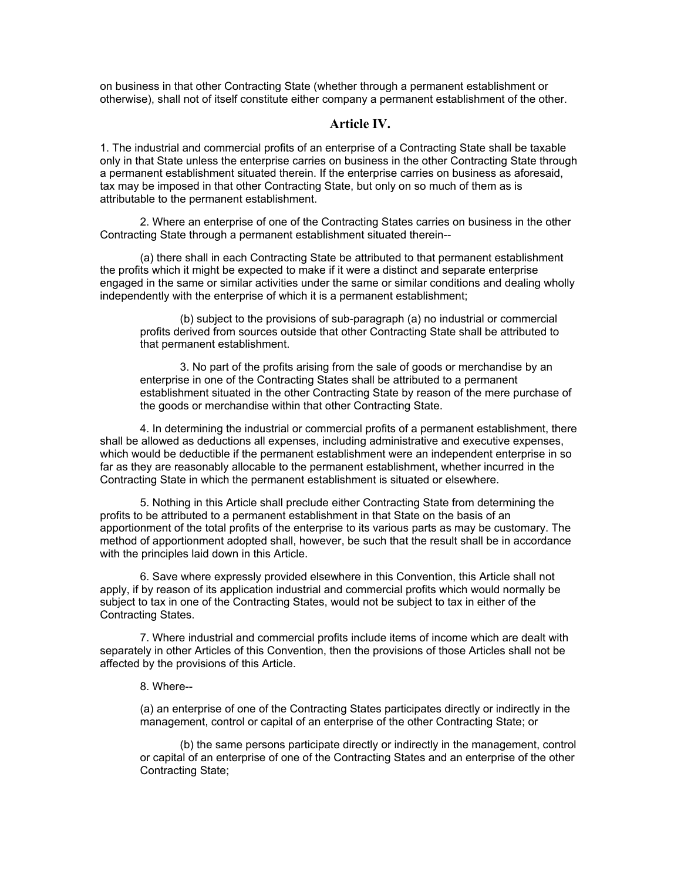on business in that other Contracting State (whether through a permanent establishment or otherwise), shall not of itself constitute either company a permanent establishment of the other.

#### **Article IV.**

1. The industrial and commercial profits of an enterprise of a Contracting State shall be taxable only in that State unless the enterprise carries on business in the other Contracting State through a permanent establishment situated therein. If the enterprise carries on business as aforesaid, tax may be imposed in that other Contracting State, but only on so much of them as is attributable to the permanent establishment.

2. Where an enterprise of one of the Contracting States carries on business in the other Contracting State through a permanent establishment situated therein--

(a) there shall in each Contracting State be attributed to that permanent establishment the profits which it might be expected to make if it were a distinct and separate enterprise engaged in the same or similar activities under the same or similar conditions and dealing wholly independently with the enterprise of which it is a permanent establishment;

(b) subject to the provisions of sub-paragraph (a) no industrial or commercial profits derived from sources outside that other Contracting State shall be attributed to that permanent establishment.

3. No part of the profits arising from the sale of goods or merchandise by an enterprise in one of the Contracting States shall be attributed to a permanent establishment situated in the other Contracting State by reason of the mere purchase of the goods or merchandise within that other Contracting State.

4. In determining the industrial or commercial profits of a permanent establishment, there shall be allowed as deductions all expenses, including administrative and executive expenses, which would be deductible if the permanent establishment were an independent enterprise in so far as they are reasonably allocable to the permanent establishment, whether incurred in the Contracting State in which the permanent establishment is situated or elsewhere.

5. Nothing in this Article shall preclude either Contracting State from determining the profits to be attributed to a permanent establishment in that State on the basis of an apportionment of the total profits of the enterprise to its various parts as may be customary. The method of apportionment adopted shall, however, be such that the result shall be in accordance with the principles laid down in this Article.

6. Save where expressly provided elsewhere in this Convention, this Article shall not apply, if by reason of its application industrial and commercial profits which would normally be subject to tax in one of the Contracting States, would not be subject to tax in either of the Contracting States.

7. Where industrial and commercial profits include items of income which are dealt with separately in other Articles of this Convention, then the provisions of those Articles shall not be affected by the provisions of this Article.

#### 8. Where--

(a) an enterprise of one of the Contracting States participates directly or indirectly in the management, control or capital of an enterprise of the other Contracting State; or

(b) the same persons participate directly or indirectly in the management, control or capital of an enterprise of one of the Contracting States and an enterprise of the other Contracting State;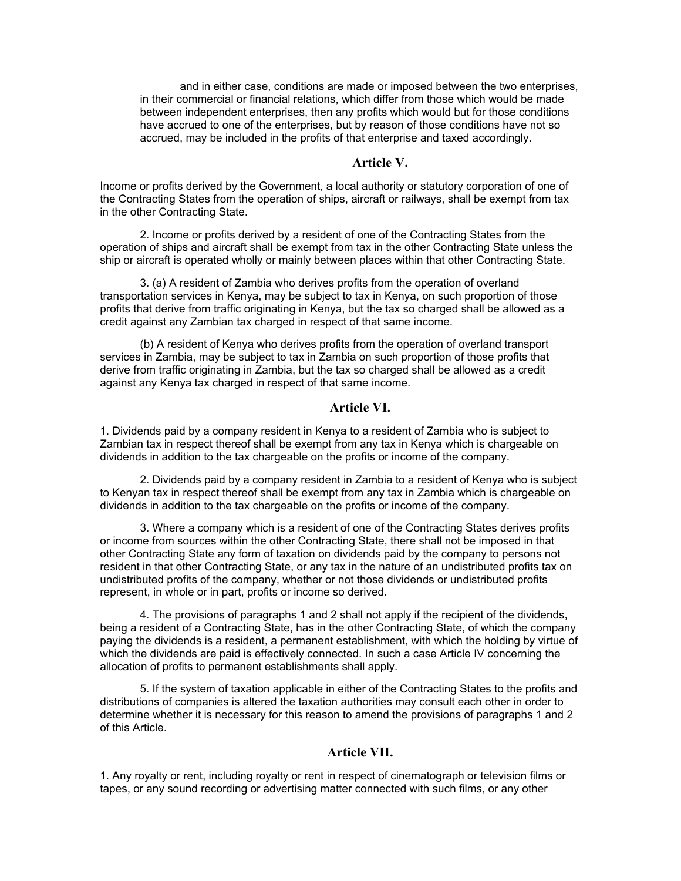and in either case, conditions are made or imposed between the two enterprises, in their commercial or financial relations, which differ from those which would be made between independent enterprises, then any profits which would but for those conditions have accrued to one of the enterprises, but by reason of those conditions have not so accrued, may be included in the profits of that enterprise and taxed accordingly.

# **Article V.**

Income or profits derived by the Government, a local authority or statutory corporation of one of the Contracting States from the operation of ships, aircraft or railways, shall be exempt from tax in the other Contracting State.

2. Income or profits derived by a resident of one of the Contracting States from the operation of ships and aircraft shall be exempt from tax in the other Contracting State unless the ship or aircraft is operated wholly or mainly between places within that other Contracting State.

3. (a) A resident of Zambia who derives profits from the operation of overland transportation services in Kenya, may be subject to tax in Kenya, on such proportion of those profits that derive from traffic originating in Kenya, but the tax so charged shall be allowed as a credit against any Zambian tax charged in respect of that same income.

(b) A resident of Kenya who derives profits from the operation of overland transport services in Zambia, may be subject to tax in Zambia on such proportion of those profits that derive from traffic originating in Zambia, but the tax so charged shall be allowed as a credit against any Kenya tax charged in respect of that same income.

## **Article VI.**

1. Dividends paid by a company resident in Kenya to a resident of Zambia who is subject to Zambian tax in respect thereof shall be exempt from any tax in Kenya which is chargeable on dividends in addition to the tax chargeable on the profits or income of the company.

2. Dividends paid by a company resident in Zambia to a resident of Kenya who is subject to Kenyan tax in respect thereof shall be exempt from any tax in Zambia which is chargeable on dividends in addition to the tax chargeable on the profits or income of the company.

3. Where a company which is a resident of one of the Contracting States derives profits or income from sources within the other Contracting State, there shall not be imposed in that other Contracting State any form of taxation on dividends paid by the company to persons not resident in that other Contracting State, or any tax in the nature of an undistributed profits tax on undistributed profits of the company, whether or not those dividends or undistributed profits represent, in whole or in part, profits or income so derived.

4. The provisions of paragraphs 1 and 2 shall not apply if the recipient of the dividends, being a resident of a Contracting State, has in the other Contracting State, of which the company paying the dividends is a resident, a permanent establishment, with which the holding by virtue of which the dividends are paid is effectively connected. In such a case Article IV concerning the allocation of profits to permanent establishments shall apply.

5. If the system of taxation applicable in either of the Contracting States to the profits and distributions of companies is altered the taxation authorities may consult each other in order to determine whether it is necessary for this reason to amend the provisions of paragraphs 1 and 2 of this Article.

# **Article VII.**

1. Any royalty or rent, including royalty or rent in respect of cinematograph or television films or tapes, or any sound recording or advertising matter connected with such films, or any other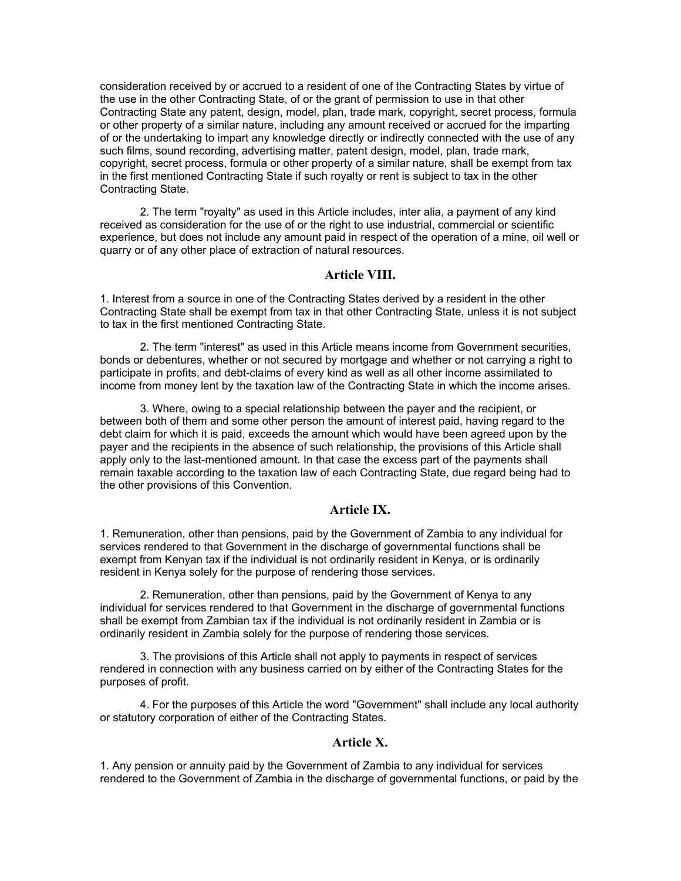consideration received by or accrued to a resident of one of the Contracting States by virtue of the use in the other Contracting State, of or the grant of permission to use in that other Contracting State any patent, design, model, plan, trade mark, copyright, secret process, formula or other property of a similar nature, including any amount received or accrued for the imparting of or the undertaking to impart any knowledge directly or indirectly connected with the use of any such films, sound recording, advertising matter, patent design, model, plan, trade mark, copyright, secret process, formula or other property of a similar nature, shall be exempt from tax in the first mentioned Contracting State if such royalty or rent is subject to tax in the other Contracting State.

2. The term "royalty" as used in this Article includes, inter alia, a payment of any kind received as consideration for the use of or the right to use industrial, commercial or scientific experience, but does not include any amount paid in respect of the operation of a mine, oil well or quarry or of any other place of extraction of natural resources.

# **Article VIII.**

1. Interest from a source in one of the Contracting States derived by a resident in the other Contracting State shall be exempt from tax in that other Contracting State, unless it is not subject to tax in the first mentioned Contracting State.

2. The term "interest" as used in this Article means income from Government securities, bonds or debentures, whether or not secured by mortgage and whether or not carrying a right to participate in profits, and debt-claims of every kind as well as all other income assimilated to income from money lent by the taxation law of the Contracting State in which the income arises.

3. Where, owing to a special relationship between the payer and the recipient, or between both of them and some other person the amount of interest paid, having regard to the debt claim for which it is paid, exceeds the amount which would have been agreed upon by the payer and the recipients in the absence of such relationship, the provisions of this Article shall apply only to the last-mentioned amount. In that case the excess part of the payments shall remain taxable according to the taxation law of each Contracting State, due regard being had to the other provisions of this Convention.

#### **Article IX.**

1. Remuneration, other than pensions, paid by the Government of Zambia to any individual for services rendered to that Government in the discharge of governmental functions shall be exempt from Kenyan tax if the individual is not ordinarily resident in Kenya, or is ordinarily resident in Kenya solely for the purpose of rendering those services.

2. Remuneration, other than pensions, paid by the Government of Kenya to any individual for services rendered to that Government in the discharge of governmental functions shall be exempt from Zambian tax if the individual is not ordinarily resident in Zambia or is ordinarily resident in Zambia solely for the purpose of rendering those services.

3. The provisions of this Article shall not apply to payments in respect of services rendered in connection with any business carried on by either of the Contracting States for the purposes of profit.

4. For the purposes of this Article the word "Government" shall include any local authority or statutory corporation of either of the Contracting States.

#### **Article X.**

1. Any pension or annuity paid by the Government of Zambia to any individual for services rendered to the Government of Zambia in the discharge of governmental functions, or paid by the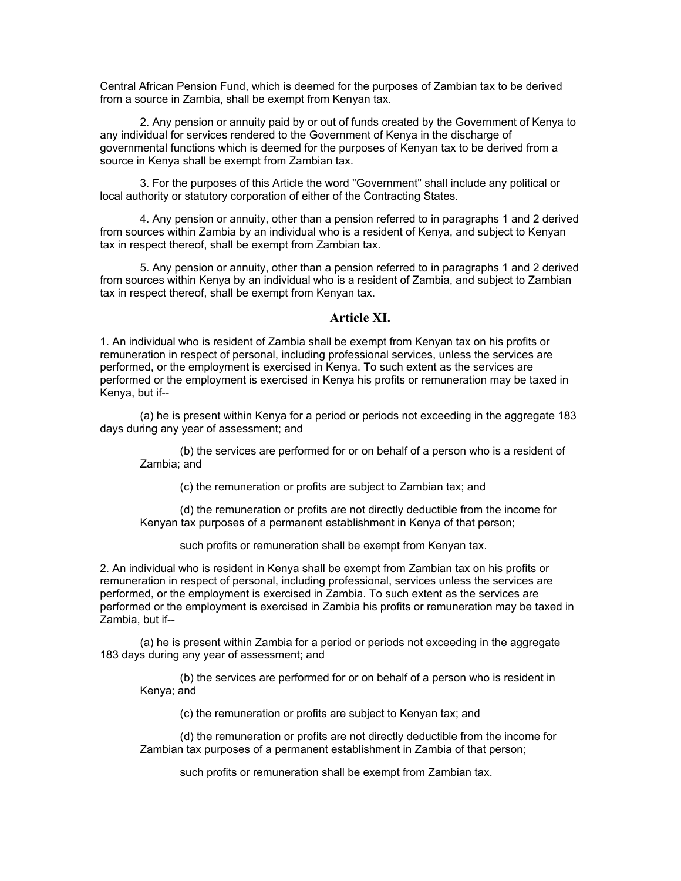Central African Pension Fund, which is deemed for the purposes of Zambian tax to be derived from a source in Zambia, shall be exempt from Kenyan tax.

2. Any pension or annuity paid by or out of funds created by the Government of Kenya to any individual for services rendered to the Government of Kenya in the discharge of governmental functions which is deemed for the purposes of Kenyan tax to be derived from a source in Kenya shall be exempt from Zambian tax.

3. For the purposes of this Article the word "Government" shall include any political or local authority or statutory corporation of either of the Contracting States.

4. Any pension or annuity, other than a pension referred to in paragraphs 1 and 2 derived from sources within Zambia by an individual who is a resident of Kenya, and subject to Kenyan tax in respect thereof, shall be exempt from Zambian tax.

5. Any pension or annuity, other than a pension referred to in paragraphs 1 and 2 derived from sources within Kenya by an individual who is a resident of Zambia, and subject to Zambian tax in respect thereof, shall be exempt from Kenyan tax.

# **Article XI.**

1. An individual who is resident of Zambia shall be exempt from Kenyan tax on his profits or remuneration in respect of personal, including professional services, unless the services are performed, or the employment is exercised in Kenya. To such extent as the services are performed or the employment is exercised in Kenya his profits or remuneration may be taxed in Kenya, but if--

(a) he is present within Kenya for a period or periods not exceeding in the aggregate 183 days during any year of assessment; and

(b) the services are performed for or on behalf of a person who is a resident of Zambia; and

(c) the remuneration or profits are subject to Zambian tax; and

(d) the remuneration or profits are not directly deductible from the income for Kenyan tax purposes of a permanent establishment in Kenya of that person;

such profits or remuneration shall be exempt from Kenyan tax.

2. An individual who is resident in Kenya shall be exempt from Zambian tax on his profits or remuneration in respect of personal, including professional, services unless the services are performed, or the employment is exercised in Zambia. To such extent as the services are performed or the employment is exercised in Zambia his profits or remuneration may be taxed in Zambia, but if--

(a) he is present within Zambia for a period or periods not exceeding in the aggregate 183 days during any year of assessment; and

(b) the services are performed for or on behalf of a person who is resident in Kenya; and

(c) the remuneration or profits are subject to Kenyan tax; and

(d) the remuneration or profits are not directly deductible from the income for Zambian tax purposes of a permanent establishment in Zambia of that person;

such profits or remuneration shall be exempt from Zambian tax.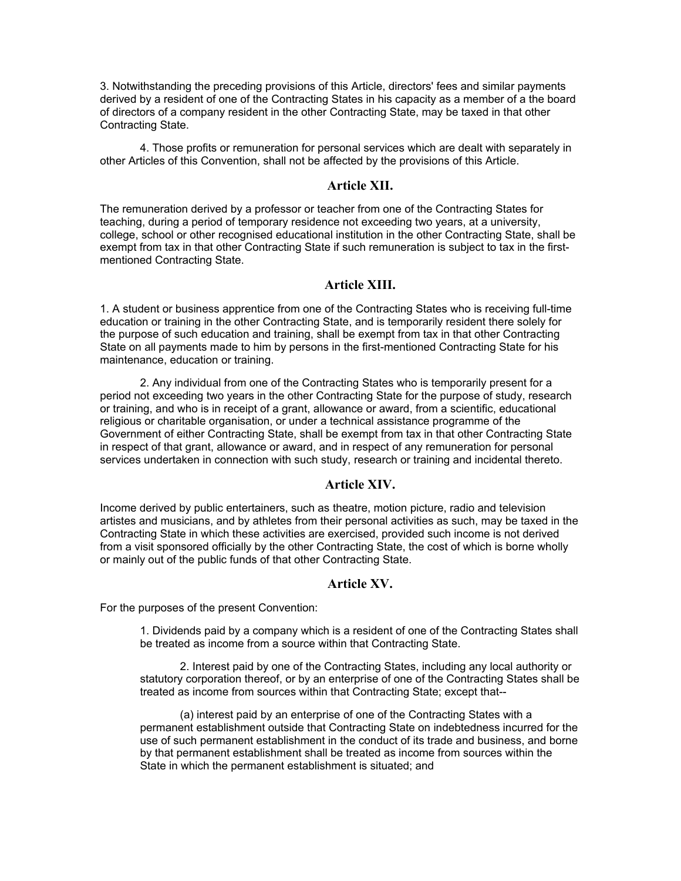3. Notwithstanding the preceding provisions of this Article, directors' fees and similar payments derived by a resident of one of the Contracting States in his capacity as a member of a the board of directors of a company resident in the other Contracting State, may be taxed in that other Contracting State.

4. Those profits or remuneration for personal services which are dealt with separately in other Articles of this Convention, shall not be affected by the provisions of this Article.

#### **Article XII.**

The remuneration derived by a professor or teacher from one of the Contracting States for teaching, during a period of temporary residence not exceeding two years, at a university, college, school or other recognised educational institution in the other Contracting State, shall be exempt from tax in that other Contracting State if such remuneration is subject to tax in the firstmentioned Contracting State.

#### **Article XIII.**

1. A student or business apprentice from one of the Contracting States who is receiving full-time education or training in the other Contracting State, and is temporarily resident there solely for the purpose of such education and training, shall be exempt from tax in that other Contracting State on all payments made to him by persons in the first-mentioned Contracting State for his maintenance, education or training.

2. Any individual from one of the Contracting States who is temporarily present for a period not exceeding two years in the other Contracting State for the purpose of study, research or training, and who is in receipt of a grant, allowance or award, from a scientific, educational religious or charitable organisation, or under a technical assistance programme of the Government of either Contracting State, shall be exempt from tax in that other Contracting State in respect of that grant, allowance or award, and in respect of any remuneration for personal services undertaken in connection with such study, research or training and incidental thereto.

#### **Article XIV.**

Income derived by public entertainers, such as theatre, motion picture, radio and television artistes and musicians, and by athletes from their personal activities as such, may be taxed in the Contracting State in which these activities are exercised, provided such income is not derived from a visit sponsored officially by the other Contracting State, the cost of which is borne wholly or mainly out of the public funds of that other Contracting State.

# **Article XV.**

For the purposes of the present Convention:

1. Dividends paid by a company which is a resident of one of the Contracting States shall be treated as income from a source within that Contracting State.

2. Interest paid by one of the Contracting States, including any local authority or statutory corporation thereof, or by an enterprise of one of the Contracting States shall be treated as income from sources within that Contracting State; except that--

(a) interest paid by an enterprise of one of the Contracting States with a permanent establishment outside that Contracting State on indebtedness incurred for the use of such permanent establishment in the conduct of its trade and business, and borne by that permanent establishment shall be treated as income from sources within the State in which the permanent establishment is situated; and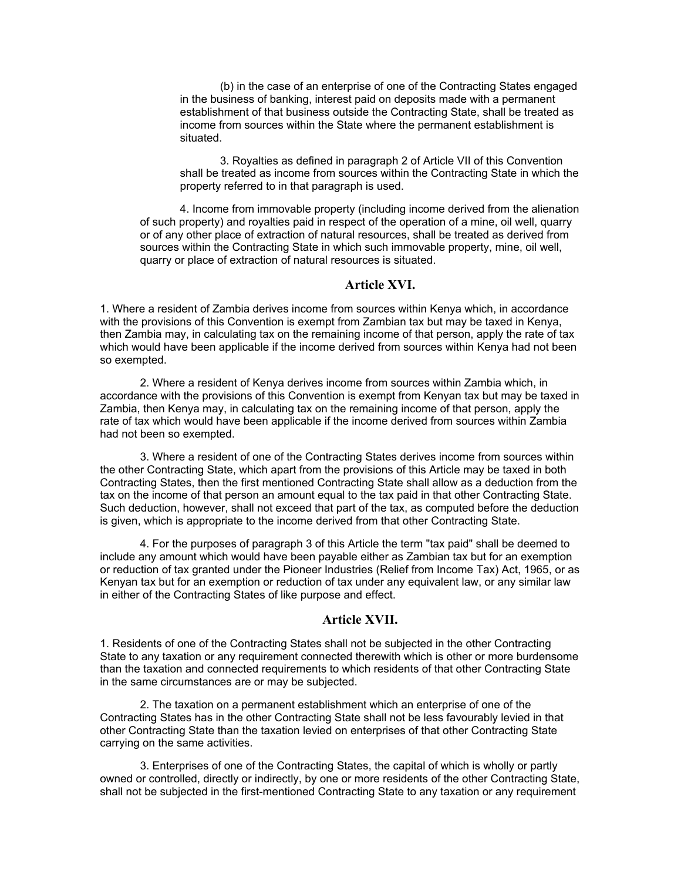(b) in the case of an enterprise of one of the Contracting States engaged in the business of banking, interest paid on deposits made with a permanent establishment of that business outside the Contracting State, shall be treated as income from sources within the State where the permanent establishment is situated.

3. Royalties as defined in paragraph 2 of Article VII of this Convention shall be treated as income from sources within the Contracting State in which the property referred to in that paragraph is used.

4. Income from immovable property (including income derived from the alienation of such property) and royalties paid in respect of the operation of a mine, oil well, quarry or of any other place of extraction of natural resources, shall be treated as derived from sources within the Contracting State in which such immovable property, mine, oil well, quarry or place of extraction of natural resources is situated.

#### **Article XVI.**

1. Where a resident of Zambia derives income from sources within Kenya which, in accordance with the provisions of this Convention is exempt from Zambian tax but may be taxed in Kenya, then Zambia may, in calculating tax on the remaining income of that person, apply the rate of tax which would have been applicable if the income derived from sources within Kenya had not been so exempted.

2. Where a resident of Kenya derives income from sources within Zambia which, in accordance with the provisions of this Convention is exempt from Kenyan tax but may be taxed in Zambia, then Kenya may, in calculating tax on the remaining income of that person, apply the rate of tax which would have been applicable if the income derived from sources within Zambia had not been so exempted.

3. Where a resident of one of the Contracting States derives income from sources within the other Contracting State, which apart from the provisions of this Article may be taxed in both Contracting States, then the first mentioned Contracting State shall allow as a deduction from the tax on the income of that person an amount equal to the tax paid in that other Contracting State. Such deduction, however, shall not exceed that part of the tax, as computed before the deduction is given, which is appropriate to the income derived from that other Contracting State.

4. For the purposes of paragraph 3 of this Article the term "tax paid" shall be deemed to include any amount which would have been payable either as Zambian tax but for an exemption or reduction of tax granted under the Pioneer Industries (Relief from Income Tax) Act, 1965, or as Kenyan tax but for an exemption or reduction of tax under any equivalent law, or any similar law in either of the Contracting States of like purpose and effect.

#### **Article XVII.**

1. Residents of one of the Contracting States shall not be subjected in the other Contracting State to any taxation or any requirement connected therewith which is other or more burdensome than the taxation and connected requirements to which residents of that other Contracting State in the same circumstances are or may be subjected.

2. The taxation on a permanent establishment which an enterprise of one of the Contracting States has in the other Contracting State shall not be less favourably levied in that other Contracting State than the taxation levied on enterprises of that other Contracting State carrying on the same activities.

3. Enterprises of one of the Contracting States, the capital of which is wholly or partly owned or controlled, directly or indirectly, by one or more residents of the other Contracting State, shall not be subjected in the first-mentioned Contracting State to any taxation or any requirement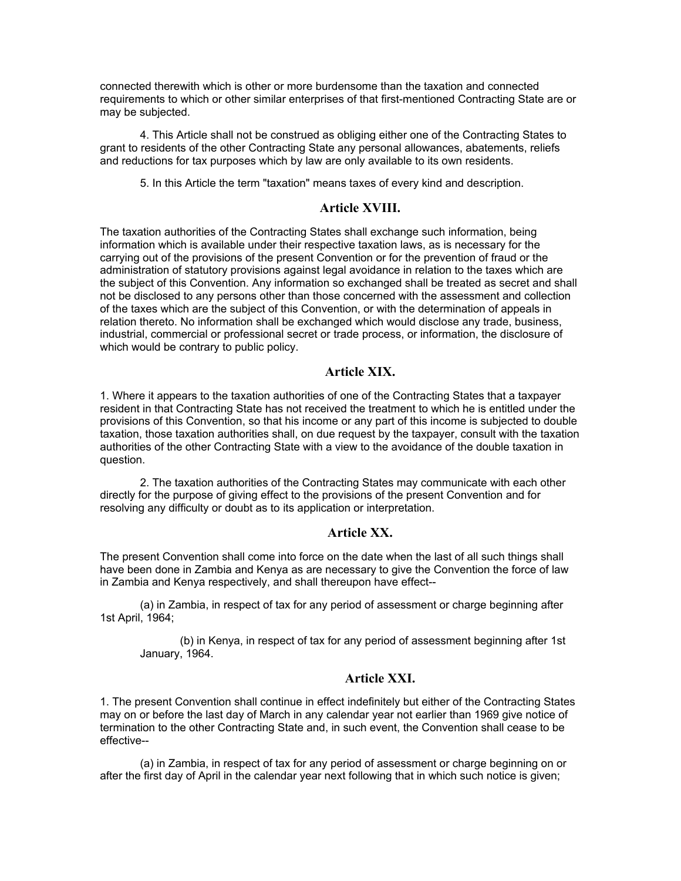connected therewith which is other or more burdensome than the taxation and connected requirements to which or other similar enterprises of that first-mentioned Contracting State are or may be subjected.

4. This Article shall not be construed as obliging either one of the Contracting States to grant to residents of the other Contracting State any personal allowances, abatements, reliefs and reductions for tax purposes which by law are only available to its own residents.

5. In this Article the term "taxation" means taxes of every kind and description.

# **Article XVIII.**

The taxation authorities of the Contracting States shall exchange such information, being information which is available under their respective taxation laws, as is necessary for the carrying out of the provisions of the present Convention or for the prevention of fraud or the administration of statutory provisions against legal avoidance in relation to the taxes which are the subject of this Convention. Any information so exchanged shall be treated as secret and shall not be disclosed to any persons other than those concerned with the assessment and collection of the taxes which are the subject of this Convention, or with the determination of appeals in relation thereto. No information shall be exchanged which would disclose any trade, business, industrial, commercial or professional secret or trade process, or information, the disclosure of which would be contrary to public policy.

# **Article XIX.**

1. Where it appears to the taxation authorities of one of the Contracting States that a taxpayer resident in that Contracting State has not received the treatment to which he is entitled under the provisions of this Convention, so that his income or any part of this income is subjected to double taxation, those taxation authorities shall, on due request by the taxpayer, consult with the taxation authorities of the other Contracting State with a view to the avoidance of the double taxation in question.

2. The taxation authorities of the Contracting States may communicate with each other directly for the purpose of giving effect to the provisions of the present Convention and for resolving any difficulty or doubt as to its application or interpretation.

# **Article XX.**

The present Convention shall come into force on the date when the last of all such things shall have been done in Zambia and Kenya as are necessary to give the Convention the force of law in Zambia and Kenya respectively, and shall thereupon have effect--

(a) in Zambia, in respect of tax for any period of assessment or charge beginning after 1st April, 1964;

(b) in Kenya, in respect of tax for any period of assessment beginning after 1st January, 1964.

# **Article XXI.**

1. The present Convention shall continue in effect indefinitely but either of the Contracting States may on or before the last day of March in any calendar year not earlier than 1969 give notice of termination to the other Contracting State and, in such event, the Convention shall cease to be effective--

(a) in Zambia, in respect of tax for any period of assessment or charge beginning on or after the first day of April in the calendar year next following that in which such notice is given;